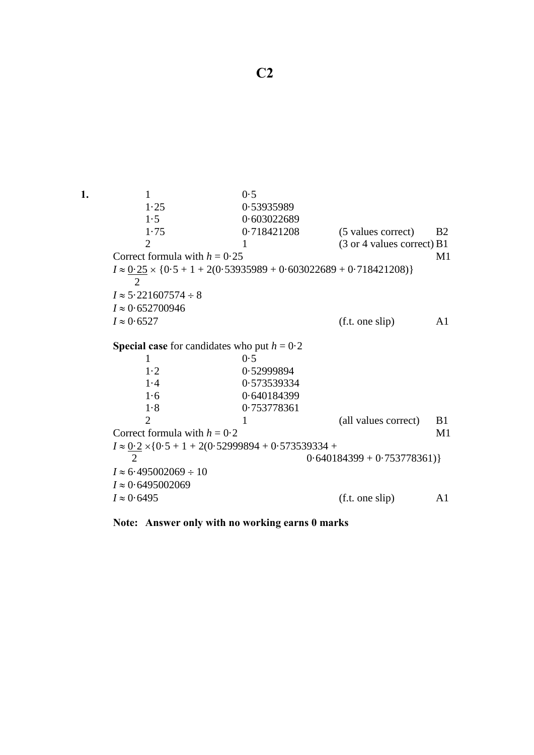

**Note: Answer only with no working earns 0 marks**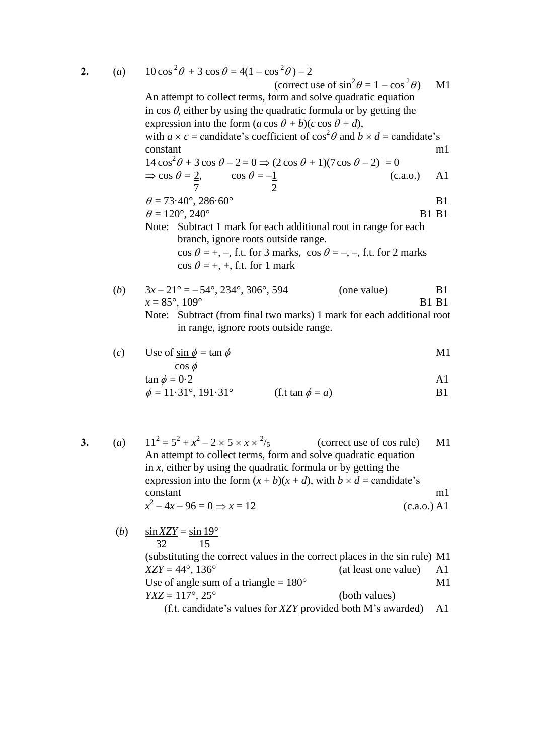**2.**  $(a)$ 

| 2. | (a) | $10\cos^2\theta + 3\cos\theta = 4(1-\cos^2\theta) - 2$<br>(correct use of $\sin^2 \theta = 1 - \cos^2 \theta$ )<br>$\mathbf{M}1$<br>An attempt to collect terms, form and solve quadratic equation<br>in $\cos \theta$ , either by using the quadratic formula or by getting the<br>expression into the form $(a \cos \theta + b)(c \cos \theta + d)$ , |                                |  |  |  |
|----|-----|---------------------------------------------------------------------------------------------------------------------------------------------------------------------------------------------------------------------------------------------------------------------------------------------------------------------------------------------------------|--------------------------------|--|--|--|
|    |     | with $a \times c$ = candidate's coefficient of $\cos^2 \theta$ and $b \times d$ = candidate's                                                                                                                                                                                                                                                           |                                |  |  |  |
|    |     | constant                                                                                                                                                                                                                                                                                                                                                | m1                             |  |  |  |
|    |     | $14\cos^2\theta + 3\cos\theta - 2 = 0 \Rightarrow (2\cos\theta + 1)(7\cos\theta - 2) = 0$                                                                                                                                                                                                                                                               |                                |  |  |  |
|    |     | $\Rightarrow$ cos $\theta = \frac{2}{7}$ , cos $\theta = -\frac{1}{2}$<br>(c.a.o.)                                                                                                                                                                                                                                                                      | A1                             |  |  |  |
|    |     | $\theta = 73.40^{\circ}, 286.60^{\circ}$                                                                                                                                                                                                                                                                                                                | B <sub>1</sub>                 |  |  |  |
|    |     | $\theta = 120^{\circ}, 240^{\circ}$                                                                                                                                                                                                                                                                                                                     | <b>B1 B1</b>                   |  |  |  |
|    |     | Note: Subtract 1 mark for each additional root in range for each<br>branch, ignore roots outside range.<br>$\cos \theta = +, -$ , f.t. for 3 marks, $\cos \theta = -, -$ , f.t. for 2 marks<br>$\cos \theta = +, +,$ f.t. for 1 mark                                                                                                                    |                                |  |  |  |
|    |     |                                                                                                                                                                                                                                                                                                                                                         |                                |  |  |  |
|    | (b) | $3x-21^{\circ} = -54^{\circ}, 234^{\circ}, 306^{\circ}, 594^{\circ}$<br>(one value)<br>$x = 85^{\circ}, 109^{\circ}$                                                                                                                                                                                                                                    | B <sub>1</sub><br><b>B1 B1</b> |  |  |  |
|    |     | Note: Subtract (from final two marks) 1 mark for each additional root<br>in range, ignore roots outside range.                                                                                                                                                                                                                                          |                                |  |  |  |
|    |     | $\left(\begin{array}{ccc} -\end{array}\right)$ . Here $f$ and $f$ are $f$                                                                                                                                                                                                                                                                               | <b>R</b> <i>K</i> 1            |  |  |  |

(c) Use of 
$$
\sin \phi = \tan \phi
$$
  
\n $\cos \phi$   
\n $\tan \phi = 0.2$   
\n $\phi = 11.21^\circ, 101.21^\circ$  (f  $\tan \phi = \pi$ )

$$
\phi = 11.31^{\circ}, 191.31^{\circ}
$$
 (f.t tan  $\phi = a$ ) B1

3. (a) 
$$
11^2 = 5^2 + x^2 - 2 \times 5 \times x \times \frac{2}{5}
$$
 (correct use of cos rule) An attempt to collect terms, form and solve quadratic equation  
in x, either by using the quadratic formula or by getting the expression into the form  $(x + b)(x + d)$ , with  $b \times d$  = candidate's constant  
 $x^2 - 4x - 96 = 0 \Rightarrow x = 12$  (c.a.o.) A1

(b) 
$$
\frac{\sin XZY}{32} = \frac{\sin 19^{\circ}}{15}
$$
  
\n(substituting the correct values in the correct places in the sin rule) M1  
\n
$$
XZY = 44^{\circ}, 136^{\circ}
$$
 (at least one value) A1  
\nUse of angle sum of a triangle = 180°  
\n
$$
YXZ = 117^{\circ}, 25^{\circ}
$$
 (both values)  
\n(f.t. candidate's values for XZY provided both M's awarded) A1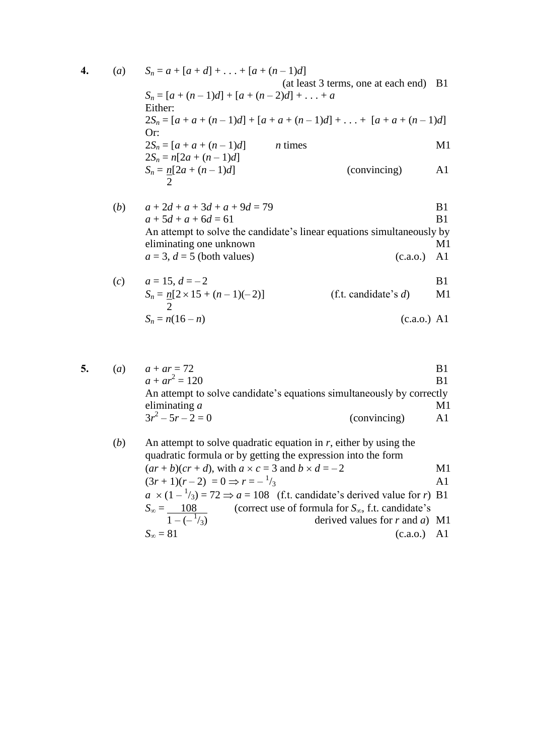4. (a) 
$$
S_n = a + [a + d] + ... + [a + (n - 1)d]
$$
  
\n(a) (at least 3 terms, one at each end) B1  
\n $S_n = [a + (n - 1)d] + [a + (n - 2)d] + ... + a$   
\nEither:  
\n $2S_n = [a + a + (n - 1)d] + [a + a + (n - 1)d] + ... + [a + a + (n - 1)d]$   
\nOr:  
\n $2S_n = a[2a + (n - 1)d]$   
\n $S_n = n[2a + (n - 1)d]$   
\n $S_n = \frac{n[2a + (n - 1)d]}{2}$   
\n(convincing) A1

(b) 
$$
a + 2d + a + 3d + a + 9d = 79
$$
  
\n $a + 5d + a + 6d = 61$   
\n**Example 15** B1  
\n**Example 16** B1  
\n**Example 17** B1  
\n**Example 18** B1  
\n**Example 19** B2  
\n**Example 19** B1  
\n**Example 19** C2  
\n**Example 19** C3  
\n**Example 19** C4  
\n**Example 19** C4  
\n**Example 19** C4  
\n**Example 19** C4  
\n**Example 19** C4  
\n**Example 19** D5  
\n**Example 19** D6  
\n**Example 19** D7  
\n**Example 19** D8  
\n**Example 10** D9  
\n**Example 10** D1  
\n**Example 11** D1  
\n**Example 11** D2  
\n**Example 13** D3  
\n**Example 14** D4  
\n**Example 15** D5  
\n**Example 16** D1  
\n**Example 19** D1  
\n**Example 19** D2  
\n**Example 19** D4  
\n**Example 19** D5  
\n**Example 10** D6  
\n**Example 10** D1  
\n**Example 11** D2  
\n**Example 12** D4  
\n**Example 13** D5  
\n**Example 14** D6  
\n**Example 15** D1  
\n**Example 16** D1  
\n**Example 19** D2  
\n**Example 19** D4  
\n**Example 10** D5  
\n**Example 10** D1  
\n**Example 11** D2  
\n**Example 12** D4  
\n**Example 13** D5  
\n**Example 14** D1  
\n**Example 15** D1  
\n**Example 16** D1  
\n**Example 19** D2  
\n**Example 19** D4  
\n**Example 10** D5  
\n**Example 10** D1

(c) 
$$
a = 15, d = -2
$$
  
\n $S_n = n[2 \times 15 + (n-1)(-2)]$   
\n $S_n = n(16-n)$  (f.t. candidate's *d*) M1  
\n(c.a.o.) A1

5. (a) 
$$
a + ar = 72
$$
  
\n $a + ar^2 = 120$   
\nAn attempt to solve candidate's equations simultaneously by correctly  
\neliminating a  
\n $3r^2 - 5r - 2 = 0$  (convincing) A1

(b) An attempt to solve quadratic equation in *r*, either by using the quadratic formula or by getting the expression into the form 
$$
(ar + b)(cr + d)
$$
, with  $a \times c = 3$  and  $b \times d = -2$   
\n $(3r + 1)(r - 2) = 0 \Rightarrow r = -\frac{1}{3}$   
\n $a \times (1 - \frac{1}{3}) = 72 \Rightarrow a = 108$  (f.t. candidate's derived value for *r*) B1  
\n $S_{\infty} = \frac{108}{1 - (-\frac{1}{3})}$  (correct use of formula for  $S_{\infty}$ , f.t. candidate's derived values for *r* and *a*) M1  
\n $S_{\infty} = 81$  (c.a.o.) A1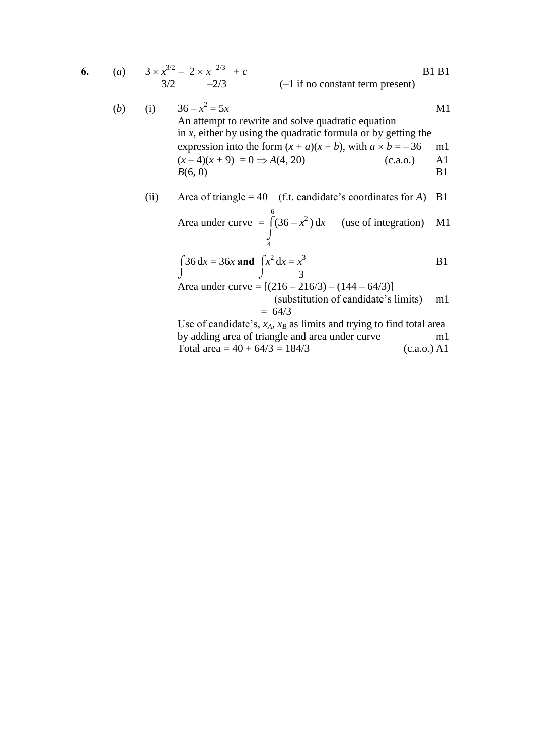6. (a) 
$$
3 \times \frac{x^{3/2}}{3/2} - 2 \times \frac{x^{-2/3}}{-2/3} + c
$$
 [B1 B1]  
\n(b) (i)  $36 - x^2 = 5x$  An attempt to rewrite and solve quadratic equation [A]

in *x*, either by using the quadratic formula or by getting the expression into the form  $(x + a)(x + b)$ , with  $a \times b = -36$  m1  $(x-4)(x+9) = 0 \implies A(4, 20)$  (c.a.o.) A1  $B(6, 0)$  B1

(ii) Area of triangle = 
$$
40
$$
 (f.t. candidate's coordinates for *A*) B1

Area under curve 
$$
=\int_{4}^{6} (36 - x^2) dx
$$
 (use of integration) M1

$$
\int 36 dx = 36x \text{ and } \int x^2 dx = \frac{x^3}{3}
$$

Area under curve =  $[(216 - 216/3) - (144 - 64/3)]$ 

 (substitution of candidate's limits) m1  $= 64/3$ 

Use of candidate's, *xA*, *x<sup>B</sup>* as limits and trying to find total area by adding area of triangle and area under curve m1 Total area =  $40 + 64/3 = 184/3$  (c.a.o.) A1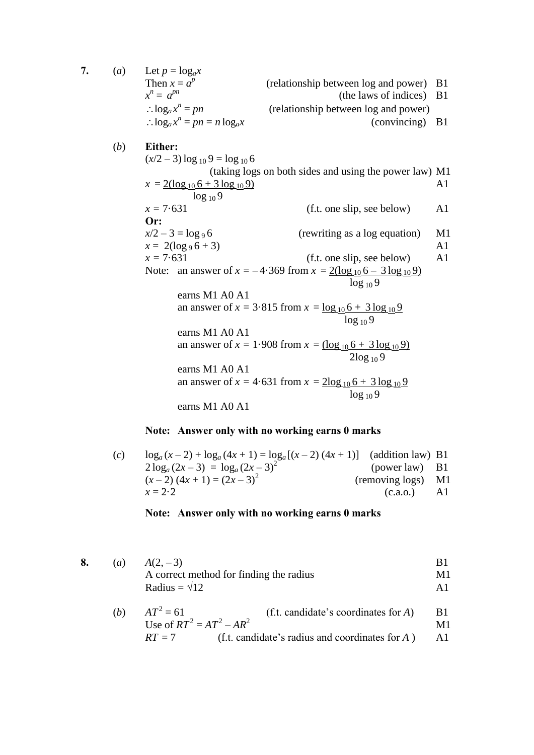7. (*a*) Let  $p = log_a x$ Then  $x = a^p$  (relationship between log and power) B1  $x^n = a$ (the laws of indices) B1  $\therefore$   $\log_a x^n$ (relationship between log and power)  $\therefore$   $\log_a x^n$  $(conving)$  B1 (*b*) **Either:**  $(x/2 - 3)$  log <sub>10</sub> 9 = log <sub>10</sub> 6 (taking logs on both sides and using the power law) M1  $x = 2(\log_{10} 6 + 3 \log_{10} 9)$  A1 log 10 9  $x = 7.631$  (f.t. one slip, see below) A1 **Or:**   $x/2 - 3 = \log_9 6$  (rewriting as a log equation) M1  $x = 2(\log_9 6 + 3)$  A1  $x = 7.631$  (f.t. one slip, see below) A1 Note: an answer of  $x = -4.369$  from  $x = 2(\log_{10} 6 - 3 \log_{10} 9)$  $\log_{10} 9$ earns M1 A0 A1 an answer of  $x = 3.815$  from  $x = \log_{10} 6 + 3 \log_{10} 9$  $log_{10} 9$  earns M1 A0 A1 an answer of  $x = 1.908$  from  $x = (\log_{10} 6 + 3 \log_{10} 9)$  2log <sup>10</sup> 9 earns M1 A0 A1 an answer of  $x = 4.631$  from  $x = 2\log_{10} 6 + 3\log_{10} 9$  $\log_{10} 9$ earns M1 A0 A1

## **Note: Answer only with no working earns 0 marks**

| (c) | $\log_a (x-2) + \log_a (4x+1) = \log_a [(x-2) (4x+1)]$ (addition law) B1 |                  |     |
|-----|--------------------------------------------------------------------------|------------------|-----|
|     | $2\log_a(2x-3) = \log_a(2x-3)^2$                                         | $(power law)$ B1 |     |
|     | $(x-2)$ $(4x+1) = (2x-3)^2$                                              | (removing logs)  | M1  |
|     | $x = 2.2$                                                                | (c.a.o.)         | A1. |

## **Note: Answer only with no working earns 0 marks**

|  | ( <i>a</i> ) $A(2,-3)$                  |    |
|--|-----------------------------------------|----|
|  | A correct method for finding the radius | M1 |
|  | Radius = $\sqrt{12}$                    |    |

(b) 
$$
AT^{2} = 61
$$
 (f.t. candidate's coordinates for A) B1  
Use of  $RT^{2} = AT^{2} - AR^{2}$  M1  

$$
RT = 7
$$
 (f.t. candidate's radius and coordinates for A) A1